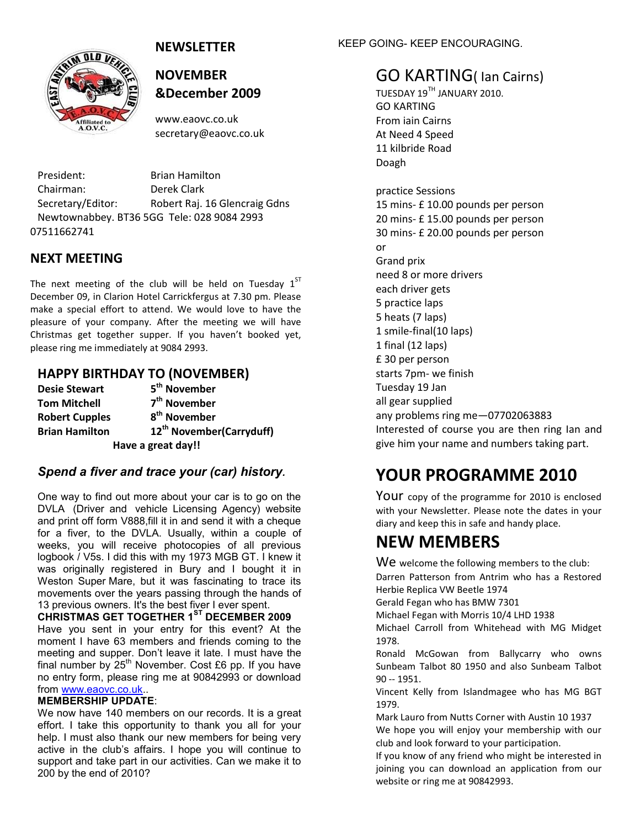#### **NEWSLETTER**



#### **NOVEMBER &December 2009**

www.eaovc.co.uk secretary@eaovc.co.uk

President: Brian Hamilton Chairman: Derek Clark Secretary/Editor: Robert Raj. 16 Glencraig Gdns Newtownabbey. BT36 5GG Tele: 028 9084 2993 07511662741

#### **NEXT MEETING**

The next meeting of the club will be held on Tuesday  $1<sup>ST</sup>$ December 09, in Clarion Hotel Carrickfergus at 7.30 pm. Please make a special effort to attend. We would love to have the pleasure of your company. After the meeting we will have Christmas get together supper. If you haven't booked yet, please ring me immediately at 9084 2993.

#### **HAPPY BIRTHDAY TO (NOVEMBER)**

| <b>Desie Stewart</b>  | 5 <sup>th</sup> November             |  |  |  |  |
|-----------------------|--------------------------------------|--|--|--|--|
| <b>Tom Mitchell</b>   | 7 <sup>th</sup> November             |  |  |  |  |
| <b>Robert Cupples</b> | 8 <sup>th</sup> November             |  |  |  |  |
| <b>Brian Hamilton</b> | 12 <sup>th</sup> November(Carryduff) |  |  |  |  |
| Have a great day!!    |                                      |  |  |  |  |

#### *Spend a fiver and trace your (car) history.*

One way to find out more about your car is to go on the DVLA (Driver and vehicle Licensing Agency) website and print off form V888,fill it in and send it with a cheque for a fiver, to the DVLA. Usually, within a couple of weeks, you will receive photocopies of all previous logbook / V5s. I did this with my 1973 MGB GT. I knew it was originally registered in Bury and I bought it in Weston Super Mare, but it was fascinating to trace its movements over the years passing through the hands of 13 previous owners. It's the best fiver I ever spent.

**CHRISTMAS GET TOGETHER 1ST DECEMBER 2009** Have you sent in your entry for this event? At the moment I have 63 members and friends coming to the meeting and supper. Don't leave it late. I must have the final number by  $25<sup>th</sup>$  November. Cost £6 pp. If you have no entry form, please ring me at 90842993 or download from [www.eaovc.co.uk.](http://www.eaovc.co.uk/).

#### **MEMBERSHIP UPDATE**:

We now have 140 members on our records. It is a great effort. I take this opportunity to thank you all for your help. I must also thank our new members for being very active in the club's affairs. I hope you will continue to support and take part in our activities. Can we make it to 200 by the end of 2010?

KEEP GOING- KEEP ENCOURAGING.

#### GO KARTING( Ian Cairns)

TUESDAY 19TH JANUARY 2010. GO KARTING From iain Cairns At Need 4 Speed 11 kilbride Road Doagh practice Sessions 15 mins- £ 10.00 pounds per person 20 mins- £ 15.00 pounds per person 30 mins- £ 20.00 pounds per person or Grand prix need 8 or more drivers each driver gets 5 practice laps 5 heats (7 laps) 1 smile-final(10 laps) 1 final (12 laps) £ 30 per person starts 7pm- we finish Tuesday 19 Jan all gear supplied any problems ring me—07702063883 Interested of course you are then ring Ian and give him your name and numbers taking part.

#### **YOUR PROGRAMME 2010**

Your copy of the programme for 2010 is enclosed with your Newsletter. Please note the dates in your diary and keep this in safe and handy place.

#### **NEW MEMBERS**

We welcome the following members to the club: Darren Patterson from Antrim who has a Restored Herbie Replica VW Beetle 1974

Gerald Fegan who has BMW 7301

Michael Fegan with Morris 10/4 LHD 1938

Michael Carroll from Whitehead with MG Midget 1978.

Ronald McGowan from Ballycarry who owns Sunbeam Talbot 80 1950 and also Sunbeam Talbot 90 -- 1951.

Vincent Kelly from Islandmagee who has MG BGT 1979.

Mark Lauro from Nutts Corner with Austin 10 1937

We hope you will enjoy your membership with our club and look forward to your participation.

If you know of any friend who might be interested in joining you can download an application from our website or ring me at 90842993.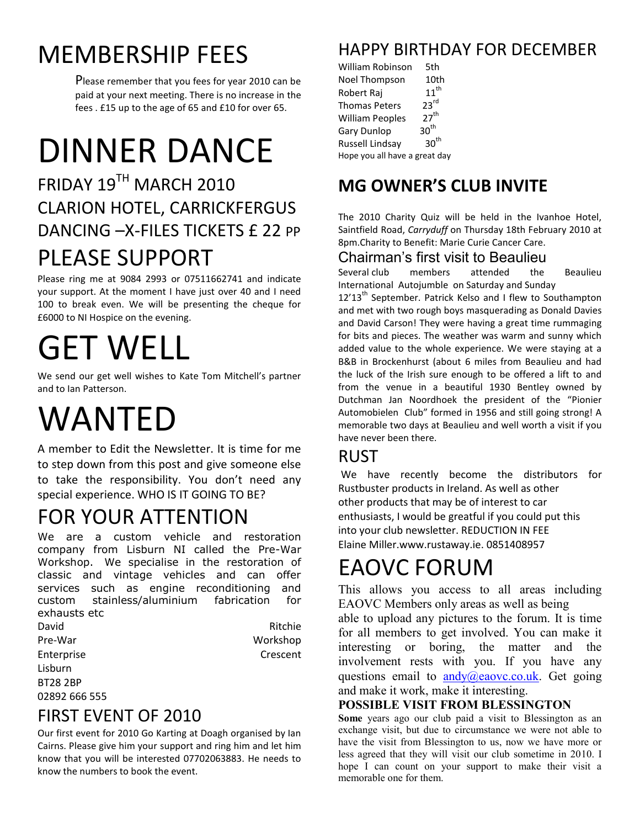## MEMBERSHIP FEES

Please remember that you fees for year 2010 can be paid at your next meeting. There is no increase in the fees . £15 up to the age of 65 and £10 for over 65.

# DINNER DANCE

## FRIDAY 19TH MARCH 2010 CLARION HOTEL, CARRICKFERGUS DANCING - X-FILES TICKETS £ 22 PP PLEASE SUPPORT

Please ring me at 9084 2993 or 07511662741 and indicate your support. At the moment I have just over 40 and I need 100 to break even. We will be presenting the cheque for £6000 to NI Hospice on the evening.

# GET WELL

We send our get well wishes to Kate Tom Mitchell's partner and to Ian Patterson.

# WANTED

A member to Edit the Newsletter. It is time for me to step down from this post and give someone else to take the responsibility. You don't need any special experience. WHO IS IT GOING TO BE?

## FOR YOUR ATTENTION

We are a custom vehicle and restoration company from Lisburn NI called the Pre-War Workshop. We specialise in the restoration of classic and vintage vehicles and can offer services such as engine reconditioning and custom stainless/aluminium fabrication for exhausts etc

| David           | Ritchie  |
|-----------------|----------|
| Pre-War         | Workshop |
| Enterprise      | Crescent |
| Lisburn         |          |
| <b>BT28 2BP</b> |          |
| 02892 666 555   |          |

#### FIRST EVENT OF 2010

Our first event for 2010 Go Karting at Doagh organised by Ian Cairns. Please give him your support and ring him and let him know that you will be interested 07702063883. He needs to know the numbers to book the event.

## HAPPY BIRTHDAY FOR DECEMBER

William Robinson 5th Noel Thompson 10th<br>Robert Raj 11<sup>th</sup> Robert Raj  $11^{tr}$ <br>Thomas Peters  $23^{rd}$ Thomas Peters 23<sup>rd</sup><br>William Peoples 27<sup>th</sup> William Peoples 27"<br>Gary Dunlon 30<sup>th</sup> Gary Dunlop 30<sup>th</sup><br>Russell Lindsay 30<sup>th</sup> Russell Lindsay Hope you all have a great day

## **MG OWNER'S CLUB INVITE**

The 2010 Charity Quiz will be held in the Ivanhoe Hotel, Saintfield Road, *Carryduff* on Thursday 18th February 2010 at 8pm.Charity to Benefit: Marie Curie Cancer Care.

#### Chairman's first visit to Beaulieu

Several club members attended the Beaulieu International Autojumble on Saturday and Sunday

 $12'13<sup>th</sup>$  September. Patrick Kelso and I flew to Southampton and met with two rough boys masquerading as Donald Davies and David Carson! They were having a great time rummaging for bits and pieces. The weather was warm and sunny which added value to the whole experience. We were staying at a B&B in Brockenhurst (about 6 miles from Beaulieu and had the luck of the Irish sure enough to be offered a lift to and from the venue in a beautiful 1930 Bentley owned by Dutchman Jan Noordhoek the president of the "Pionier Automobielen Club" formed in 1956 and still going strong! A memorable two days at Beaulieu and well worth a visit if you have never been there.

#### RUST

We have recently become the distributors for Rustbuster products in Ireland. As well as other other products that may be of interest to car enthusiasts, I would be greatful if you could put this into your club newsletter. REDUCTION IN FEE Elaine Miller.www.rustaway.ie. 0851408957

## EAOVC FORUM

This allows you access to all areas including EAOVC Members only areas as well as being able to upload any pictures to the forum. It is time for all members to get involved. You can make it interesting or boring, the matter and the involvement rests with you. If you have any questions email to  $\frac{andy}{\angle Q}e$ aovc.co.uk. Get going and make it work, make it interesting.

#### **POSSIBLE VISIT FROM BLESSINGTON**

**Some** years ago our club paid a visit to Blessington as an exchange visit, but due to circumstance we were not able to have the visit from Blessington to us, now we have more or less agreed that they will visit our club sometime in 2010. I hope I can count on your support to make their visit a memorable one for them.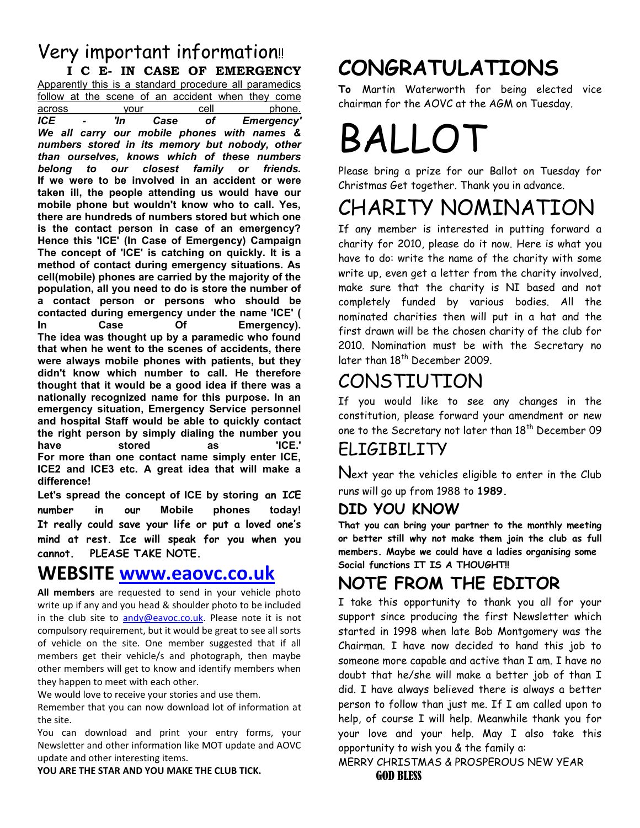#### Very important information!! **I C E- IN CASE OF EMERGENCY**

Apparently this is a standard procedure all paramedics follow at the scene of an accident when they come across your cell phone. *ICE - 'In Case of Emergency' We all carry our mobile phones with names & numbers stored in its memory but nobody, other than ourselves, knows which of these numbers belong to our closest family or friends.* **If we were to be involved in an accident or were taken ill, the people attending us would have our mobile phone but wouldn't know who to call. Yes, there are hundreds of numbers stored but which one is the contact person in case of an emergency? Hence this 'ICE' (In Case of Emergency) Campaign The concept of 'ICE' is catching on quickly. It is a method of contact during emergency situations. As cell(mobile) phones are carried by the majority of the population, all you need to do is store the number of a contact person or persons who should be contacted during emergency under the name 'ICE' ( In Case Of Emergency). The idea was thought up by a paramedic who found that when he went to the scenes of accidents, there were always mobile phones with patients, but they didn't know which number to call. He therefore thought that it would be a good idea if there was a nationally recognized name for this purpose. In an emergency situation, Emergency Service personnel and hospital Staff would be able to quickly contact the right person by simply dialing the number you have stored as 'ICE.' For more than one contact name simply enter ICE, ICE2 and ICE3 etc. A great idea that will make a difference!**

**Let's spread the concept of ICE by storing an ICE number in our Mobile phones today! It really could save your life or put a loved one's mind at rest. Ice will speak for you when you cannot. PLEASE TAKE NOTE.**

#### **WEBSITE [www.eaovc.co.uk](http://www.eaovc.co.uk/)**

**All members** are requested to send in your vehicle photo write up if any and you head & shoulder photo to be included in the club site to [andy@eavoc.co.uk.](mailto:andy@eavoc.co.uk) Please note it is not compulsory requirement, but it would be great to see all sorts of vehicle on the site. One member suggested that if all members get their vehicle/s and photograph, then maybe other members will get to know and identify members when they happen to meet with each other.

We would love to receive your stories and use them.

Remember that you can now download lot of information at the site.

You can download and print your entry forms, your Newsletter and other information like MOT update and AOVC update and other interesting items.

**YOU ARE THE STAR AND YOU MAKE THE CLUB TICK.**

## **CONGRATULATIONS**

**To** Martin Waterworth for being elected vice chairman for the AOVC at the AGM on Tuesday.

# BALLO<sup>T</sup>

Please bring a prize for our Ballot on Tuesday for Christmas Get together. Thank you in advance.

## CHARITY NOMINATION

If any member is interested in putting forward a charity for 2010, please do it now. Here is what you have to do: write the name of the charity with some write up, even get a letter from the charity involved, make sure that the charity is NI based and not completely funded by various bodies. All the nominated charities then will put in a hat and the first drawn will be the chosen charity of the club for 2010. Nomination must be with the Secretary no later than 18<sup>th</sup> December 2009.

## CONSTIUTION

If you would like to see any changes in the constitution, please forward your amendment or new one to the Secretary not later than  $18^{\mathrm{th}}$  December 09

#### ELIGIBILITY

Next year the vehicles eligible to enter in the Club runs will go up from 1988 to **1989.**

#### **DID YOU KNOW**

**That you can bring your partner to the monthly meeting or better still why not make them join the club as full members. Maybe we could have a ladies organising some Social functions IT IS A THOUGHT!!**

## **NOTE FROM THE EDITOR**

I take this opportunity to thank you all for your support since producing the first Newsletter which started in 1998 when late Bob Montgomery was the Chairman. I have now decided to hand this job to someone more capable and active than I am. I have no doubt that he/she will make a better job of than I did. I have always believed there is always a better person to follow than just me. If I am called upon to help, of course I will help. Meanwhile thank you for your love and your help. May I also take this opportunity to wish you & the family a:

#### MERRY CHRISTMAS & PROSPEROUS NEW YEAR GOD BLESS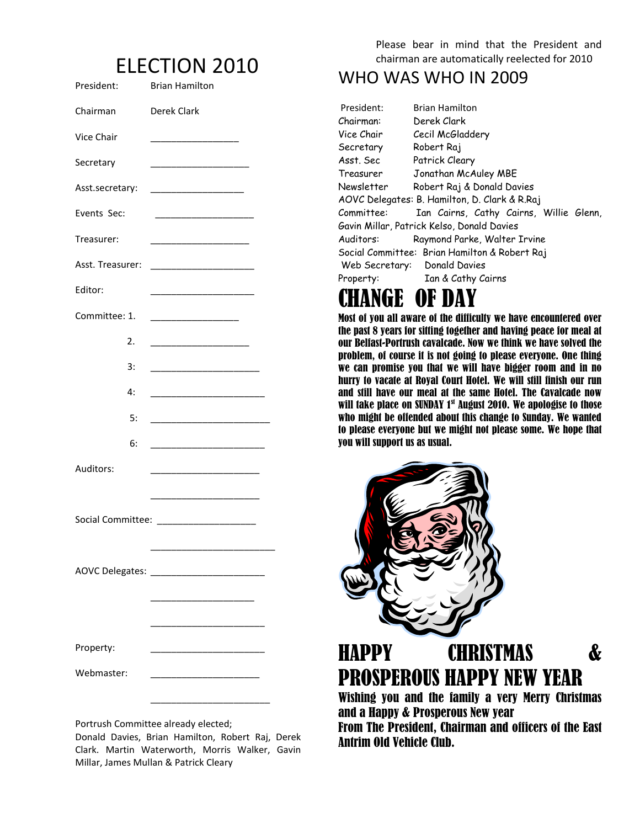## ELECTION 2010

| President:       | <b>Brian Hamilton</b>                                                                                                |
|------------------|----------------------------------------------------------------------------------------------------------------------|
| Chairman         | Derek Clark                                                                                                          |
| Vice Chair       |                                                                                                                      |
| Secretary        |                                                                                                                      |
| Asst.secretary:  | ______________________________                                                                                       |
| Events Sec:      |                                                                                                                      |
| Treasurer:       |                                                                                                                      |
| Asst. Treasurer: |                                                                                                                      |
| Editor:          | <u> 1989 - Johann John Stone, market fransk politiker (</u>                                                          |
| Committee: 1.    |                                                                                                                      |
| 2.               |                                                                                                                      |
| 3:               |                                                                                                                      |
| 4:               | <u> 1989 - Johann John Harry Harry Harry Harry Harry Harry Harry Harry Harry Harry Harry Harry Harry Harry Harry</u> |
| 5:               | <u> 1989 - Johann John Harry Harry Harry Harry Harry Harry Harry Harry Harry Harry Harry Harry Harry Harry Harry</u> |
| 6:               |                                                                                                                      |
| Auditors:        |                                                                                                                      |
|                  |                                                                                                                      |
|                  |                                                                                                                      |
|                  |                                                                                                                      |
|                  |                                                                                                                      |
|                  |                                                                                                                      |
|                  |                                                                                                                      |
| Property:        |                                                                                                                      |
| Webmaster:       |                                                                                                                      |
|                  |                                                                                                                      |

Portrush Committee already elected;

Donald Davies, Brian Hamilton, Robert Raj, Derek Clark. Martin Waterworth, Morris Walker, Gavin Millar, James Mullan & Patrick Cleary

Please bear in mind that the President and chairman are automatically reelected for 2010

#### WHO WAS WHO IN 2009

| President:                                    | Brian Hamilton                          |  |  |  |  |
|-----------------------------------------------|-----------------------------------------|--|--|--|--|
| Chairman:                                     | Derek Clark                             |  |  |  |  |
| Vice Chair                                    | Cecil McGladdery                        |  |  |  |  |
| Secretary                                     | Robert Raj                              |  |  |  |  |
| Asst. Sec                                     | Patrick Cleary                          |  |  |  |  |
| Treasurer                                     | Jonathan McAuley MBE                    |  |  |  |  |
| Newsletter                                    | Robert Raj & Donald Davies              |  |  |  |  |
| AOVC Delegates: B. Hamilton, D. Clark & R.Raj |                                         |  |  |  |  |
| Committee:                                    | Ian Cairns, Cathy Cairns, Willie Glenn, |  |  |  |  |
| Gavin Millar, Patrick Kelso, Donald Davies    |                                         |  |  |  |  |
| Raymond Parke, Walter Irvine<br>Auditors:     |                                         |  |  |  |  |
| Social Committee: Brian Hamilton & Robert Raj |                                         |  |  |  |  |
|                                               | Web Secretary: Donald Davies            |  |  |  |  |
| Property:                                     | Ian & Cathy Cairns                      |  |  |  |  |

## CHANGE OF DAY

Most of you all aware of the difficulty we have encountered over the past 8 years for sitting together and having peace for meal at our Belfast-Portrush cavalcade. Now we think we have solved the problem, of course it is not going to please everyone. One thing we can promise you that we will have bigger room and in no hurry to vacate at Royal Court Hotel. We will still finish our run and still have our meal at the same Hotel. The Cavalcade now will take place on SUNDAY 1<sup>st</sup> August 2010. We apologise to those who might be offended about this change to Sunday. We wanted to please everyone but we might not please some. We hope that you will support us as usual.



## HAPPY CHRISTMAS & PROSPEROUS HAPPY NEW YEAR

Wishing you and the family a very Merry Christmas and a Happy & Prosperous New year

From The President, Chairman and officers of the East Antrim Old Vehicle Club.